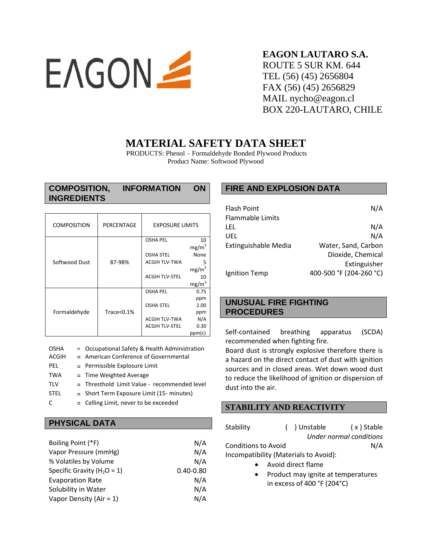

# **EAGON LAUTARO S.A.** ROUTE 5 SUR KM. 644 TEL (56) (45) 2656804 FAX (56) (45) 2656829 MAIL nycho@eagon.cl BOX 220-LAUTARO, CHILE

# **MATERIAL SAFETY DATA SHEET**

PRODUCTS: Phenol – Formaldehyde Bonded Plywood Products Product Name: Softwood Plywood

| <b>COMPOSITION,</b> | <b>INFORMATION</b> | <b>ON</b> |
|---------------------|--------------------|-----------|
| <b>INGREDIENTS</b>  |                    |           |

| <b>COMPOSITION</b> | PERCENTAGE | <b>EXPOSURE LIMITS</b> |                   |
|--------------------|------------|------------------------|-------------------|
|                    |            | <b>OSHA PEL</b>        | 10                |
|                    |            |                        | mg/m <sup>3</sup> |
| Softwood Dust      |            | <b>OSHA STEL</b>       | None              |
|                    | 87-98%     | <b>ACGIH TLV-TWA</b>   |                   |
|                    |            |                        | mg/m <sup>3</sup> |
|                    |            | <b>ACGIH TLV-STEL</b>  | 10                |
|                    |            |                        | mg/m <sup>3</sup> |
| Formaldehyde       |            | <b>OSHA PEL</b>        | 0.75              |
|                    |            |                        | ppm               |
|                    |            | <b>OSHA STEL</b>       | 2.00              |
|                    | Trace<0.1% |                        | ppm               |
|                    |            | <b>ACGIH TLV-TWA</b>   | N/A               |
|                    |            | <b>ACGIH TLV-STEL</b>  | 0.30              |
|                    |            |                        | ppm(c)            |

# **PHYSICAL DATA**

| Boiling Point (*F)              | N/A           |
|---------------------------------|---------------|
| Vapor Pressure (mmHg)           | N/A           |
| % Volatiles by Volume           | N/A           |
| Specific Gravity ( $H_2O = 1$ ) | $0.40 - 0.80$ |
| <b>Evaporation Rate</b>         | N/A           |
| Solubility in Water             | N/A           |
| Vapor Density (Air = $1$ )      | N/A           |

# **FIRE AND EXPLOSION DATA**

| N/A                     |
|-------------------------|
|                         |
| N/A                     |
| N/A                     |
| Water, Sand, Carbon     |
| Dioxide, Chemical       |
| Extinguisher            |
| 400-500 °F (204-260 °C) |
|                         |

# **UNUSUAL FIRE FIGHTING PROCEDURES**

Self-contained breathing apparatus (SCDA) recommended when fighting fire.

Board dust is strongly explosive therefore there is a hazard on the direct contact of dust with ignition sources and in closed areas. Wet down wood dust to reduce the likelihood of ignition or dispersion of dust into the air.

# **STABILITY AND REACTIVITY**

| Stability                             |  | () Unstable | (x) Stable              |  |
|---------------------------------------|--|-------------|-------------------------|--|
|                                       |  |             | Under normal conditions |  |
| <b>Conditions to Avoid</b>            |  |             | N/A                     |  |
| Incompatibility (Materials to Avoid): |  |             |                         |  |
|                                       |  |             |                         |  |

- Avoid direct flame
- Product may ignite at temperatures in excess of 400 °F (204°C)